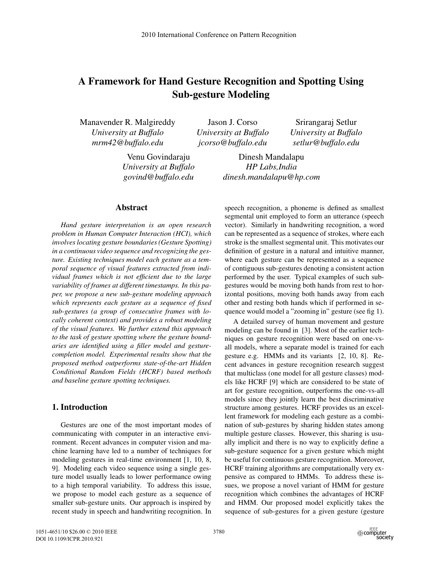# **A Framework for Hand Gesture Recognition and Spotting Using Sub-gesture Modeling**

Manavender R. Malgireddy *University at Buffalo mrm42@buffalo.edu*

> Venu Govindaraju *University at Buffalo govind@buffalo.edu*

**Abstract**

*Hand gesture interpretation is an open research problem in Human Computer Interaction (HCI), which involves locating gesture boundaries (Gesture Spotting) in a continuous video sequence and recognizing the gesture. Existing techniques model each gesture as a temporal sequence of visual features extracted from individual frames which is not efficient due to the large variability of frames at different timestamps. In this paper, we propose a new sub-gesture modeling approach which represents each gesture as a sequence of fixed sub-gestures (a group of consecutive frames with locally coherent context) and provides a robust modeling of the visual features. We further extend this approach to the task of gesture spotting where the gesture boundaries are identified using a filler model and gesturecompletion model. Experimental results show that the proposed method outperforms state-of-the-art Hidden Conditional Random Fields (HCRF) based methods and baseline gesture spotting techniques.*

## **1. Introduction**

Gestures are one of the most important modes of communicating with computer in an interactive environment. Recent advances in computer vision and machine learning have led to a number of techniques for modeling gestures in real-time environment [1, 10, 8, 9]. Modeling each video sequence using a single gesture model usually leads to lower performance owing to a high temporal variability. To address this issue, we propose to model each gesture as a sequence of smaller sub-gesture units. Our approach is inspired by recent study in speech and handwriting recognition. In

Jason J. Corso *University at Buffalo jcorso@buffalo.edu*

Srirangaraj Setlur *University at Buffalo setlur@buffalo.edu*

Dinesh Mandalapu *HP Labs,India dinesh.mandalapu@hp.com*

speech recognition, a phoneme is defined as smallest segmental unit employed to form an utterance (speech vector). Similarly in handwriting recognition, a word can be represented as a sequence of strokes, where each stroke is the smallest segmental unit. This motivates our definition of gesture in a natural and intuitive manner, where each gesture can be represented as a sequence of contiguous sub-gestures denoting a consistent action performed by the user. Typical examples of such subgestures would be moving both hands from rest to horizontal positions, moving both hands away from each other and resting both hands which if performed in sequence would model a "zooming in" gesture (see fig 1).

A detailed survey of human movement and gesture modeling can be found in [3]. Most of the earlier techniques on gesture recognition were based on one-vsall models, where a separate model is trained for each gesture e.g. HMMs and its variants [2, 10, 8]. Recent advances in gesture recognition research suggest that multiclass (one model for all gesture classes) models like HCRF [9] which are considered to be state of art for gesture recognition, outperforms the one-vs-all models since they jointly learn the best discriminative structure among gestures. HCRF provides us an excellent framework for modeling each gesture as a combination of sub-gestures by sharing hidden states among multiple gesture classes. However, this sharing is usually implicit and there is no way to explicitly define a sub-gesture sequence for a given gesture which might be useful for continuous gesture recognition. Moreover, HCRF training algorithms are computationally very expensive as compared to HMMs. To address these issues, we propose a novel variant of HMM for gesture recognition which combines the advantages of HCRF and HMM. Our proposed model explicitly takes the sequence of sub-gestures for a given gesture (gesture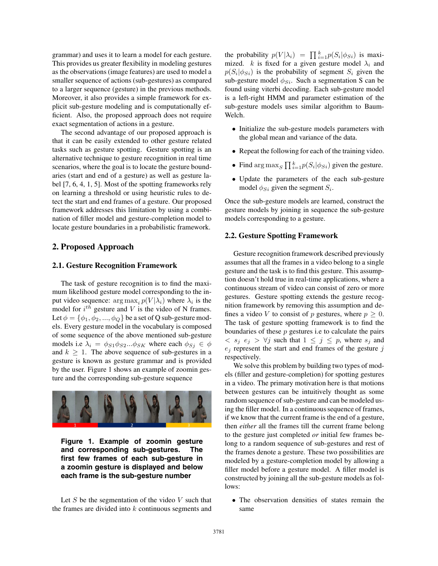grammar) and uses it to learn a model for each gesture. This provides us greater flexibility in modeling gestures as the observations (image features) are used to model a smaller sequence of actions (sub-gestures) as compared to a larger sequence (gesture) in the previous methods. Moreover, it also provides a simple framework for explicit sub-gesture modeling and is computationally efficient. Also, the proposed approach does not require exact segmentation of actions in a gesture.

The second advantage of our proposed approach is that it can be easily extended to other gesture related tasks such as gesture spotting. Gesture spotting is an alternative technique to gesture recognition in real time scenarios, where the goal is to locate the gesture boundaries (start and end of a gesture) as well as gesture label [7, 6, 4, 1, 5]. Most of the spotting frameworks rely on learning a threshold or using heuristic rules to detect the start and end frames of a gesture. Our proposed framework addresses this limitation by using a combination of filler model and gesture-completion model to locate gesture boundaries in a probabilistic framework.

## **2. Proposed Approach**

#### **2.1. Gesture Recognition Framework**

The task of gesture recognition is to find the maximum likelihood gesture model corresponding to the input video sequence:  $\arg \max_i p(V|\lambda_i)$  where  $\lambda_i$  is the model for  $i^{th}$  gesture and V is the video of N frames. Let  $\phi = {\phi_1, \phi_2, ..., \phi_Q}$  be a set of Q sub-gesture models. Every gesture model in the vocabulary is composed of some sequence of the above mentioned sub-gesture models i.e  $\lambda_i = \phi_{S1}\phi_{S2}...\phi_{SK}$  where each  $\phi_{Sj} \in \phi$ and  $k \geq 1$ . The above sequence of sub-gestures in a gesture is known as gesture grammar and is provided by the user. Figure 1 shows an example of zoomin gesture and the corresponding sub-gesture sequence





Let  $S$  be the segmentation of the video  $V$  such that the frames are divided into  $k$  continuous segments and

the probability  $p(V|\lambda_i) = \prod_{i=1}^k p(S_i|\phi_{Si})$  is maxi-<br>mized k is fixed for a given gesture model  $\lambda_i$  and mized.  $k$  is fixed for a given gesture model  $\lambda_i$  and  $p(S_i | \phi_{Si})$  is the probability of segment  $S_i$  given the sub-gesture model  $\phi_{Si}$ . Such a segmentation S can be found using viterbi decoding. Each sub-gesture model is a left-right HMM and parameter estimation of the sub-gesture models uses similar algorithm to Baum-Welch.

- Initialize the sub-gesture models parameters with the global mean and variance of the data.
- Repeat the following for each of the training video.
- Find  $\arg \max_{S} \prod_{i=1}^{k} p(S_i | \phi_{Si})$  given the gesture.
- Update the parameters of the each sub-gesture model  $\phi_{Si}$  given the segment  $S_i$ .

Once the sub-gesture models are learned, construct the gesture models by joining in sequence the sub-gesture models corresponding to a gesture.

## **2.2. Gesture Spotting Framework**

Gesture recognition framework described previously assumes that all the frames in a video belong to a single gesture and the task is to find this gesture. This assumption doesn't hold true in real-time applications, where a continuous stream of video can consist of zero or more gestures. Gesture spotting extends the gesture recognition framework by removing this assumption and defines a video V to consist of p gestures, where  $p \geq 0$ . The task of gesture spotting framework is to find the boundaries of these  $p$  gestures i.e to calculate the pairs  $\langle s_j \rangle \langle s_j \rangle$   $\forall j$  such that  $1 \leq j \leq p$ , where  $s_j$  and  $e_j$  represent the start and end frames of the gesture  $j$ respectively.

We solve this problem by building two types of models (filler and gesture-completion) for spotting gestures in a video. The primary motivation here is that motions between gestures can be intuitively thought as some random sequence of sub-gesture and can be modeled using the filler model. In a continuous sequence of frames, if we know that the current frame is the end of a gesture, then *either* all the frames till the current frame belong to the gesture just completed *or* initial few frames belong to a random sequence of sub-gestures and rest of the frames denote a gesture. These two possibilities are modeled by a gesture-completion model by allowing a filler model before a gesture model. A filler model is constructed by joining all the sub-gesture models as follows:

• The observation densities of states remain the same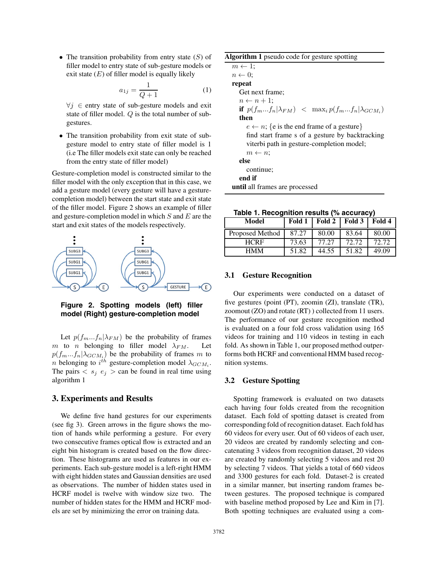• The transition probability from entry state  $(S)$  of filler model to entry state of sub-gesture models or exit state  $(E)$  of filler model is equally likely

$$
a_{1j} = \frac{1}{Q+1}
$$
 (1)  
 $\forall j \in$  entry state of sub-gesture models and exit

state of filler model. Q is the total number of subgestures.

• The transition probability from exit state of subgesture model to entry state of filler model is 1 (i.e The filler models exit state can only be reached from the entry state of filler model)

Gesture-completion model is constructed similar to the filler model with the only exception that in this case, we add a gesture model (every gesture will have a gesturecompletion model) between the start state and exit state of the filler model. Figure 2 shows an example of filler and gesture-completion model in which  $S$  and  $E$  are the start and exit states of the models respectively.



**Figure 2. Spotting models (left) filler model (Right) gesture-completion model**

Let  $p(f_m...f_n|\lambda_{FM})$  be the probability of frames<br>to *n* belonging to filler model  $\lambda_{FM}$ . Let m to n belonging to filler model  $\lambda_{FM}$ .  $p(f_m...f_n | \lambda_{GCM_i})$  be the probability of frames m to n belonging to  $i^{th}$  gesture-completion model  $\lambda_{GCM_i}$ . The pairs  $\langle s_i | e_j \rangle$  can be found in real time using algorithm 1

# **3. Experiments and Results**

We define five hand gestures for our experiments (see fig 3). Green arrows in the figure shows the motion of hands while performing a gesture. For every two consecutive frames optical flow is extracted and an eight bin histogram is created based on the flow direction. These histograms are used as features in our experiments. Each sub-gesture model is a left-right HMM with eight hidden states and Gaussian densities are used as observations. The number of hidden states used in HCRF model is twelve with window size two. The number of hidden states for the HMM and HCRF models are set by minimizing the error on training data.

| Algorithm 1 pseudo code for gesture spotting                                                                                                                               |  |  |  |  |
|----------------------------------------------------------------------------------------------------------------------------------------------------------------------------|--|--|--|--|
| $m \leftarrow 1$ ;                                                                                                                                                         |  |  |  |  |
| $n \leftarrow 0$                                                                                                                                                           |  |  |  |  |
| repeat                                                                                                                                                                     |  |  |  |  |
| Get next frame:                                                                                                                                                            |  |  |  |  |
| $n \leftarrow n+1$ ;                                                                                                                                                       |  |  |  |  |
| if $p(f_mf_n \lambda_{FM}) \leq \max_i p(f_mf_n \lambda_{GCM_i})$                                                                                                          |  |  |  |  |
| then                                                                                                                                                                       |  |  |  |  |
| $e \leftarrow n$ ; {e is the end frame of a gesture}<br>find start frame s of a gesture by backtracking<br>viterbi path in gesture-completion model;<br>$m \leftarrow n$ ; |  |  |  |  |
| else<br>continue;                                                                                                                                                          |  |  |  |  |
| end if                                                                                                                                                                     |  |  |  |  |
| <b>until</b> all frames are processed                                                                                                                                      |  |  |  |  |

**Table 1. Recognition results (% accuracy)**

| Model           | Fold 1 | Fold 2 | Fold 3 | Fold 4 |
|-----------------|--------|--------|--------|--------|
| Proposed Method | 87.27  | 80.00  | 83.64  | 80.00  |
| <b>HCRF</b>     | 73.63  | 77.27  | 72.72  | 72.72  |
| <b>HMM</b>      | 51.82  | 44.55  | 51.82  | 49.09  |

#### **3.1 Gesture Recognition**

Our experiments were conducted on a dataset of five gestures (point (PT), zoomin (ZI), translate (TR), zoomout (ZO) and rotate (RT) ) collected from 11 users. The performance of our gesture recognition method is evaluated on a four fold cross validation using 165 videos for training and 110 videos in testing in each fold. As shown in Table 1, our proposed method outperforms both HCRF and conventional HMM based recognition systems.

## **3.2 Gesture Spotting**

Spotting framework is evaluated on two datasets each having four folds created from the recognition dataset. Each fold of spotting dataset is created from corresponding fold of recognition dataset. Each fold has 60 videos for every user. Out of 60 videos of each user, 20 videos are created by randomly selecting and concatenating 3 videos from recognition dataset, 20 videos are created by randomly selecting 5 videos and rest 20 by selecting 7 videos. That yields a total of 660 videos and 3300 gestures for each fold. Dataset-2 is created in a similar manner, but inserting random frames between gestures. The proposed technique is compared with baseline method proposed by Lee and Kim in [7]. Both spotting techniques are evaluated using a com-